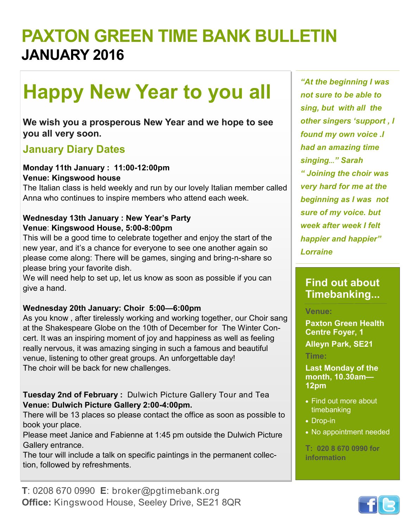# **PAXTON GREEN TIME BANK BULLETIN JANUARY 2016**

# **Happy New Year to you all**

**We wish you a prosperous New Year and we hope to see you all very soon.**

## **January Diary Dates**

#### **Monday 11th January : 11:00-12:00pm Venue: Kingswood house**

The Italian class is held weekly and run by our lovely Italian member called Anna who continues to inspire members who attend each week.

#### **Wednesday 13th January : New Year's Party Venue**: **Kingswood House, 5:00-8:00pm**

This will be a good time to celebrate together and enjoy the start of the new year, and it's a chance for everyone to see one another again so please come along: There will be games, singing and bring-n-share so please bring your favorite dish.

We will need help to set up, let us know as soon as possible if you can give a hand.

#### **Wednesday 20th January: Choir 5:00—6:00pm**

As you know , after tirelessly working and working together, our Choir sang at the Shakespeare Globe on the 10th of December for The Winter Concert. It was an inspiring moment of joy and happiness as well as feeling really nervous, it was amazing singing in such a famous and beautiful venue, listening to other great groups. An unforgettable day! The choir will be back for new challenges.

**Tuesday 2nd of February :** Dulwich Picture Gallery Tour and Tea **Venue: Dulwich Picture Gallery 2:00-4:00pm.**

There will be 13 places so please contact the office as soon as possible to book your place.

Please meet Janice and Fabienne at 1:45 pm outside the Dulwich Picture Gallery entrance.

The tour will include a talk on specific paintings in the permanent collection, followed by refreshments.

*"At the beginning I was not sure to be able to sing, but with all the other singers 'support , I found my own voice .I had an amazing time singing..." Sarah " Joining the choir was very hard for me at the beginning as I was not sure of my voice. but week after week I felt happier and happier" Lorraine*

### **Find out about Timebanking...**

#### **Venue:**

**Paxton Green Health Centre Foyer, 1** 

**Alleyn Park, SE21**

#### **Time:**

**Last Monday of the month, 10.30am— 12pm**

- Find out more about timebanking
- Drop-in
- No appointment needed

**T: 020 8 670 0990 for information**